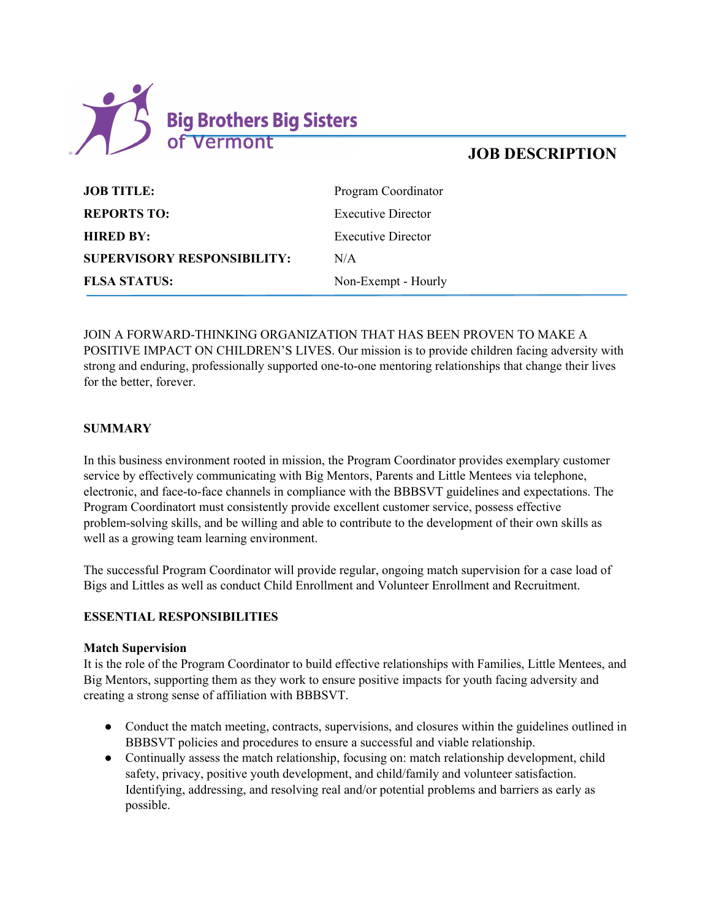

| <b>JOB TITLE:</b>                  | Program Coordinator       |
|------------------------------------|---------------------------|
| <b>REPORTS TO:</b>                 | <b>Executive Director</b> |
| <b>HIRED BY:</b>                   | <b>Executive Director</b> |
| <b>SUPERVISORY RESPONSIBILITY:</b> | N/A                       |
| <b>FLSA STATUS:</b>                | Non-Exempt - Hourly       |

JOIN A FORWARD-THINKING ORGANIZATION THAT HAS BEEN PROVEN TO MAKE A POSITIVE IMPACT ON CHILDREN'S LIVES. Our mission is to provide children facing adversity with strong and enduring, professionally supported one-to-one mentoring relationships that change their lives for the better, forever.

#### **SUMMARY**

In this business environment rooted in mission, the Program Coordinator provides exemplary customer service by effectively communicating with Big Mentors, Parents and Little Mentees via telephone, electronic, and face-to-face channels in compliance with the BBBSVT guidelines and expectations. The Program Coordinatort must consistently provide excellent customer service, possess effective problem-solving skills, and be willing and able to contribute to the development of their own skills as well as a growing team learning environment.

The successful Program Coordinator will provide regular, ongoing match supervision for a case load of Bigs and Littles as well as conduct Child Enrollment and Volunteer Enrollment and Recruitment.

#### **ESSENTIAL RESPONSIBILITIES**

#### **Match Supervision**

It is the role of the Program Coordinator to build effective relationships with Families, Little Mentees, and Big Mentors, supporting them as they work to ensure positive impacts for youth facing adversity and creating a strong sense of affiliation with BBBSVT.

- Conduct the match meeting, contracts, supervisions, and closures within the guidelines outlined in BBBSVT policies and procedures to ensure a successful and viable relationship.
- Continually assess the match relationship, focusing on: match relationship development, child safety, privacy, positive youth development, and child/family and volunteer satisfaction. Identifying, addressing, and resolving real and/or potential problems and barriers as early as possible.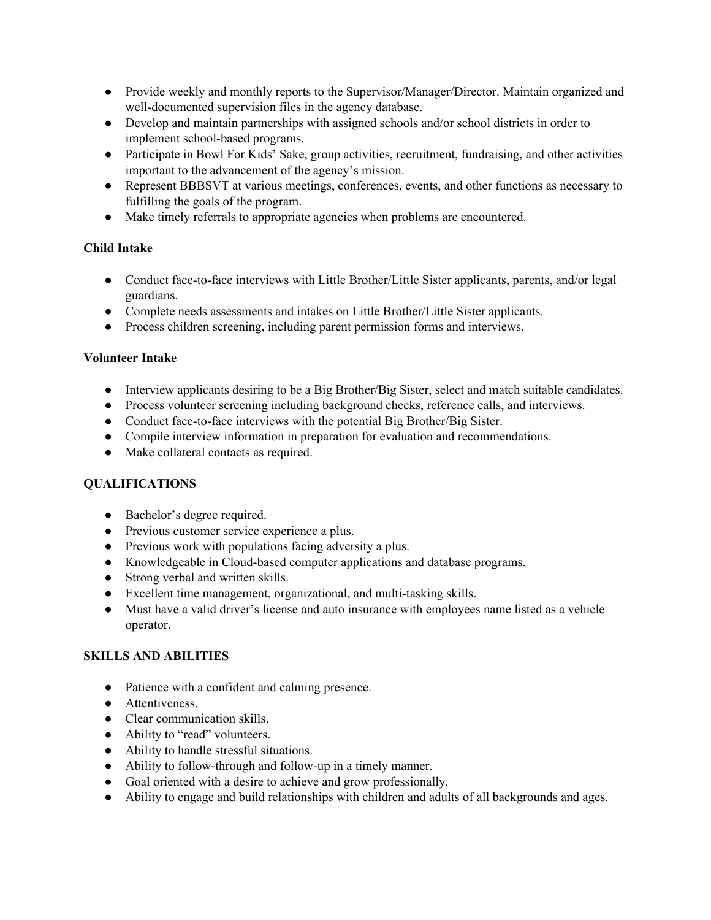- Provide weekly and monthly reports to the Supervisor/Manager/Director. Maintain organized and well-documented supervision files in the agency database.
- Develop and maintain partnerships with assigned schools and/or school districts in order to implement school-based programs.
- Participate in Bowl For Kids' Sake, group activities, recruitment, fundraising, and other activities important to the advancement of the agency's mission.
- Represent BBBSVT at various meetings, conferences, events, and other functions as necessary to fulfilling the goals of the program.
- Make timely referrals to appropriate agencies when problems are encountered.

## **Child Intake**

- Conduct face-to-face interviews with Little Brother/Little Sister applicants, parents, and/or legal guardians.
- Complete needs assessments and intakes on Little Brother/Little Sister applicants.
- Process children screening, including parent permission forms and interviews.

## **Volunteer Intake**

- Interview applicants desiring to be a Big Brother/Big Sister, select and match suitable candidates.
- Process volunteer screening including background checks, reference calls, and interviews.
- Conduct face-to-face interviews with the potential Big Brother/Big Sister.
- Compile interview information in preparation for evaluation and recommendations.
- Make collateral contacts as required.

## **QUALIFICATIONS**

- **●** Bachelor's degree required.
- **●** Previous customer service experience a plus.
- **●** Previous work with populations facing adversity a plus.
- **●** Knowledgeable in Cloud-based computer applications and database programs.
- **●** Strong verbal and written skills.
- **●** Excellent time management, organizational, and multi-tasking skills.
- **●** Must have a valid driver's license and auto insurance with employees name listed as a vehicle operator.

# **SKILLS AND ABILITIES**

- Patience with a confident and calming presence.
- Attentiveness.
- Clear communication skills.
- Ability to "read" volunteers.
- Ability to handle stressful situations.
- Ability to follow-through and follow-up in a timely manner.
- Goal oriented with a desire to achieve and grow professionally.
- Ability to engage and build relationships with children and adults of all backgrounds and ages.